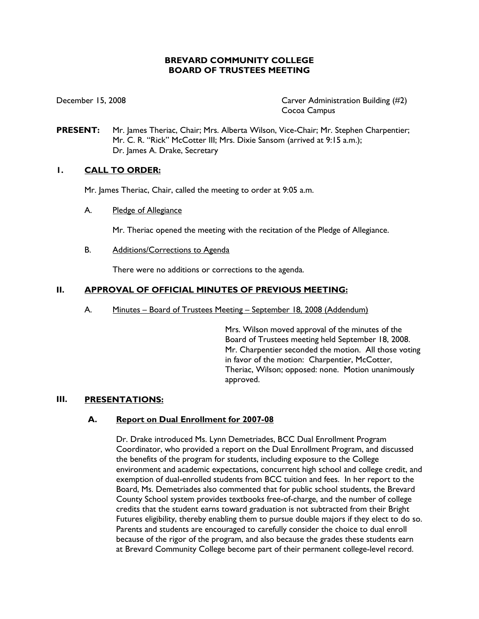# **BREVARD COMMUNITY COLLEGE BOARD OF TRUSTEES MEETING**

December 15, 2008 Carver Administration Building (#2) Cocoa Campus

**PRESENT:** Mr. James Theriac, Chair; Mrs. Alberta Wilson, Vice-Chair; Mr. Stephen Charpentier; Mr. C. R. "Rick" McCotter III; Mrs. Dixie Sansom (arrived at 9:15 a.m.); Dr. James A. Drake, Secretary

# **1. CALL TO ORDER:**

Mr. James Theriac, Chair, called the meeting to order at 9:05 a.m.

A. Pledge of Allegiance

Mr. Theriac opened the meeting with the recitation of the Pledge of Allegiance.

B. Additions/Corrections to Agenda

There were no additions or corrections to the agenda.

# **II. APPROVAL OF OFFICIAL MINUTES OF PREVIOUS MEETING:**

A. Minutes – Board of Trustees Meeting – September 18, 2008 (Addendum)

Mrs. Wilson moved approval of the minutes of the Board of Trustees meeting held September 18, 2008. Mr. Charpentier seconded the motion. All those voting in favor of the motion: Charpentier, McCotter, Theriac, Wilson; opposed: none. Motion unanimously approved.

# **III. PRESENTATIONS:**

# **A. Report on Dual Enrollment for 2007-08**

Dr. Drake introduced Ms. Lynn Demetriades, BCC Dual Enrollment Program Coordinator, who provided a report on the Dual Enrollment Program, and discussed the benefits of the program for students, including exposure to the College environment and academic expectations, concurrent high school and college credit, and exemption of dual-enrolled students from BCC tuition and fees. In her report to the Board, Ms. Demetriades also commented that for public school students, the Brevard County School system provides textbooks free-of-charge, and the number of college credits that the student earns toward graduation is not subtracted from their Bright Futures eligibility, thereby enabling them to pursue double majors if they elect to do so. Parents and students are encouraged to carefully consider the choice to dual enroll because of the rigor of the program, and also because the grades these students earn at Brevard Community College become part of their permanent college-level record.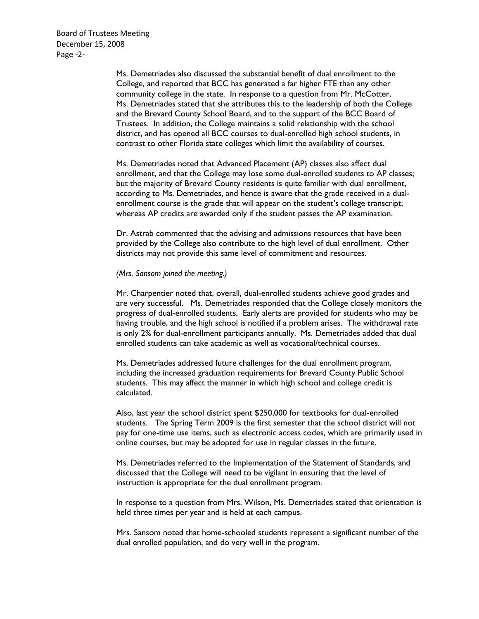Board of Trustees Meeting December 15, 2008 Page -2-

> Ms. Demetriades also discussed the substantial benefit of dual enrollment to the College, and reported that BCC has generated a far higher FTE than any other community college in the state. In response to a question from Mr. McCotter, Ms. Demetriades stated that she attributes this to the leadership of both the College and the Brevard County School Board, and to the support of the BCC Board of Trustees. In addition, the College maintains a solid relationship with the school district, and has opened all BCC courses to dual-enrolled high school students, in contrast to other Florida state colleges which limit the availability of courses.

> Ms. Demetriades noted that Advanced Placement (AP) classes also affect dual enrollment, and that the College may lose some dual-enrolled students to AP classes; but the majority of Brevard County residents is quite familiar with dual enrollment, according to Ms. Demetriades, and hence is aware that the grade received in a dualenrollment course is the grade that will appear on the student's college transcript, whereas AP credits are awarded only if the student passes the AP examination.

Dr. Astrab commented that the advising and admissions resources that have been provided by the College also contribute to the high level of dual enrollment. Other districts may not provide this same level of commitment and resources.

## *(Mrs. Sansom joined the meeting.)*

Mr. Charpentier noted that, overall, dual-enrolled students achieve good grades and are very successful. Ms. Demetriades responded that the College closely monitors the progress of dual-enrolled students. Early alerts are provided for students who may be having trouble, and the high school is notified if a problem arises. The withdrawal rate is only 2% for dual-enrollment participants annually. Ms. Demetriades added that dual enrolled students can take academic as well as vocational/technical courses.

Ms. Demetriades addressed future challenges for the dual enrollment program, including the increased graduation requirements for Brevard County Public School students. This may affect the manner in which high school and college credit is calculated.

Also, last year the school district spent \$250,000 for textbooks for dual-enrolled students. The Spring Term 2009 is the first semester that the school district will not pay for one-time use items, such as electronic access codes, which are primarily used in online courses, but may be adopted for use in regular classes in the future.

Ms. Demetriades referred to the Implementation of the Statement of Standards, and discussed that the College will need to be vigilant in ensuring that the level of instruction is appropriate for the dual enrollment program.

In response to a question from Mrs. Wilson, Ms. Demetriades stated that orientation is held three times per year and is held at each campus.

Mrs. Sansom noted that home-schooled students represent a significant number of the dual enrolled population, and do very well in the program.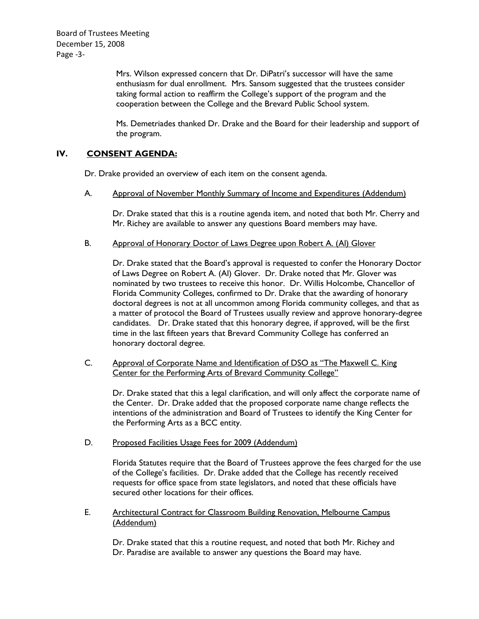Board of Trustees Meeting December 15, 2008 Page -3-

> Mrs. Wilson expressed concern that Dr. DiPatri's successor will have the same enthusiasm for dual enrollment. Mrs. Sansom suggested that the trustees consider taking formal action to reaffirm the College's support of the program and the cooperation between the College and the Brevard Public School system.

Ms. Demetriades thanked Dr. Drake and the Board for their leadership and support of the program.

### **IV. CONSENT AGENDA:**

Dr. Drake provided an overview of each item on the consent agenda.

A. Approval of November Monthly Summary of Income and Expenditures (Addendum)

Dr. Drake stated that this is a routine agenda item, and noted that both Mr. Cherry and Mr. Richey are available to answer any questions Board members may have.

### B. Approval of Honorary Doctor of Laws Degree upon Robert A. (Al) Glover

Dr. Drake stated that the Board's approval is requested to confer the Honorary Doctor of Laws Degree on Robert A. (Al) Glover. Dr. Drake noted that Mr. Glover was nominated by two trustees to receive this honor. Dr. Willis Holcombe, Chancellor of Florida Community Colleges, confirmed to Dr. Drake that the awarding of honorary doctoral degrees is not at all uncommon among Florida community colleges, and that as a matter of protocol the Board of Trustees usually review and approve honorary-degree candidates. Dr. Drake stated that this honorary degree, if approved, will be the first time in the last fifteen years that Brevard Community College has conferred an honorary doctoral degree.

C. Approval of Corporate Name and Identification of DSO as "The Maxwell C. King Center for the Performing Arts of Brevard Community College"

Dr. Drake stated that this a legal clarification, and will only affect the corporate name of the Center. Dr. Drake added that the proposed corporate name change reflects the intentions of the administration and Board of Trustees to identify the King Center for the Performing Arts as a BCC entity.

### D. Proposed Facilities Usage Fees for 2009 (Addendum)

Florida Statutes require that the Board of Trustees approve the fees charged for the use of the College's facilities. Dr. Drake added that the College has recently received requests for office space from state legislators, and noted that these officials have secured other locations for their offices.

E. Architectural Contract for Classroom Building Renovation, Melbourne Campus (Addendum)

Dr. Drake stated that this a routine request, and noted that both Mr. Richey and Dr. Paradise are available to answer any questions the Board may have.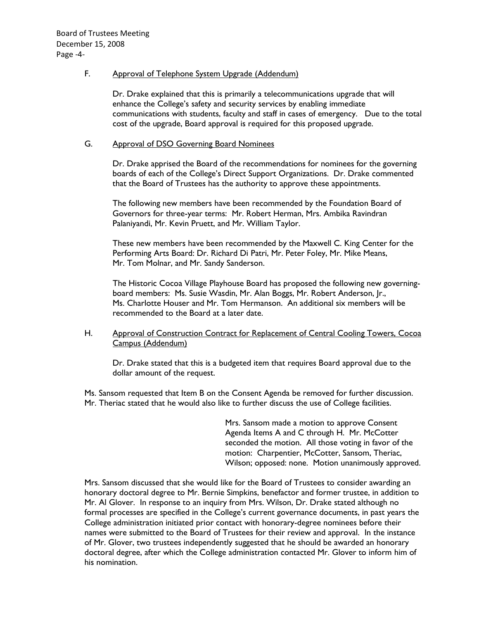### F. Approval of Telephone System Upgrade (Addendum)

Dr. Drake explained that this is primarily a telecommunications upgrade that will enhance the College's safety and security services by enabling immediate communications with students, faculty and staff in cases of emergency. Due to the total cost of the upgrade, Board approval is required for this proposed upgrade.

### G. Approval of DSO Governing Board Nominees

Dr. Drake apprised the Board of the recommendations for nominees for the governing boards of each of the College's Direct Support Organizations. Dr. Drake commented that the Board of Trustees has the authority to approve these appointments.

The following new members have been recommended by the Foundation Board of Governors for three-year terms: Mr. Robert Herman, Mrs. Ambika Ravindran Palaniyandi, Mr. Kevin Pruett, and Mr. William Taylor.

These new members have been recommended by the Maxwell C. King Center for the Performing Arts Board: Dr. Richard Di Patri, Mr. Peter Foley, Mr. Mike Means, Mr. Tom Molnar, and Mr. Sandy Sanderson.

The Historic Cocoa Village Playhouse Board has proposed the following new governingboard members: Ms. Susie Wasdin, Mr. Alan Boggs, Mr. Robert Anderson, Jr., Ms. Charlotte Houser and Mr. Tom Hermanson. An additional six members will be recommended to the Board at a later date.

### H. Approval of Construction Contract for Replacement of Central Cooling Towers, Cocoa Campus (Addendum)

Dr. Drake stated that this is a budgeted item that requires Board approval due to the dollar amount of the request.

Ms. Sansom requested that Item B on the Consent Agenda be removed for further discussion. Mr. Theriac stated that he would also like to further discuss the use of College facilities.

> Mrs. Sansom made a motion to approve Consent Agenda Items A and C through H. Mr. McCotter seconded the motion. All those voting in favor of the motion: Charpentier, McCotter, Sansom, Theriac, Wilson; opposed: none. Motion unanimously approved.

Mrs. Sansom discussed that she would like for the Board of Trustees to consider awarding an honorary doctoral degree to Mr. Bernie Simpkins, benefactor and former trustee, in addition to Mr. Al Glover. In response to an inquiry from Mrs. Wilson, Dr. Drake stated although no formal processes are specified in the College's current governance documents, in past years the College administration initiated prior contact with honorary-degree nominees before their names were submitted to the Board of Trustees for their review and approval. In the instance of Mr. Glover, two trustees independently suggested that he should be awarded an honorary doctoral degree, after which the College administration contacted Mr. Glover to inform him of his nomination.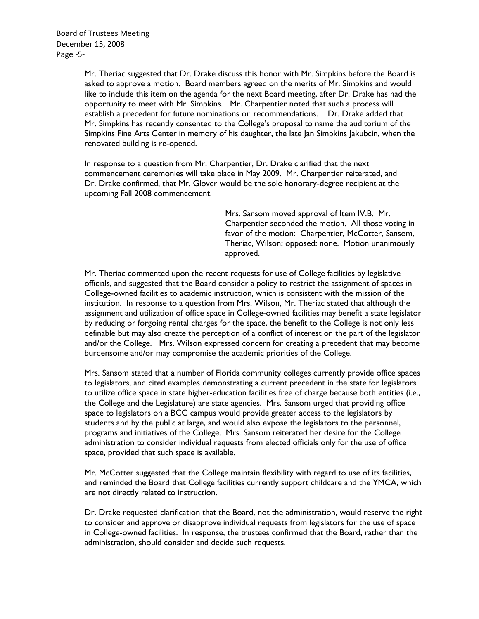Mr. Theriac suggested that Dr. Drake discuss this honor with Mr. Simpkins before the Board is asked to approve a motion. Board members agreed on the merits of Mr. Simpkins and would like to include this item on the agenda for the next Board meeting, after Dr. Drake has had the opportunity to meet with Mr. Simpkins. Mr. Charpentier noted that such a process will establish a precedent for future nominations or recommendations. Dr. Drake added that Mr. Simpkins has recently consented to the College's proposal to name the auditorium of the Simpkins Fine Arts Center in memory of his daughter, the late Jan Simpkins Jakubcin, when the renovated building is re-opened.

In response to a question from Mr. Charpentier, Dr. Drake clarified that the next commencement ceremonies will take place in May 2009. Mr. Charpentier reiterated, and Dr. Drake confirmed, that Mr. Glover would be the sole honorary-degree recipient at the upcoming Fall 2008 commencement.

> Mrs. Sansom moved approval of Item IV.B. Mr. Charpentier seconded the motion. All those voting in favor of the motion: Charpentier, McCotter, Sansom, Theriac, Wilson; opposed: none. Motion unanimously approved.

Mr. Theriac commented upon the recent requests for use of College facilities by legislative officials, and suggested that the Board consider a policy to restrict the assignment of spaces in College-owned facilities to academic instruction, which is consistent with the mission of the institution. In response to a question from Mrs. Wilson, Mr. Theriac stated that although the assignment and utilization of office space in College-owned facilities may benefit a state legislator by reducing or forgoing rental charges for the space, the benefit to the College is not only less definable but may also create the perception of a conflict of interest on the part of the legislator and/or the College. Mrs. Wilson expressed concern for creating a precedent that may become burdensome and/or may compromise the academic priorities of the College.

Mrs. Sansom stated that a number of Florida community colleges currently provide office spaces to legislators, and cited examples demonstrating a current precedent in the state for legislators to utilize office space in state higher-education facilities free of charge because both entities (i.e., the College and the Legislature) are state agencies. Mrs. Sansom urged that providing office space to legislators on a BCC campus would provide greater access to the legislators by students and by the public at large, and would also expose the legislators to the personnel, programs and initiatives of the College. Mrs. Sansom reiterated her desire for the College administration to consider individual requests from elected officials only for the use of office space, provided that such space is available.

Mr. McCotter suggested that the College maintain flexibility with regard to use of its facilities, and reminded the Board that College facilities currently support childcare and the YMCA, which are not directly related to instruction.

Dr. Drake requested clarification that the Board, not the administration, would reserve the right to consider and approve or disapprove individual requests from legislators for the use of space in College-owned facilities. In response, the trustees confirmed that the Board, rather than the administration, should consider and decide such requests.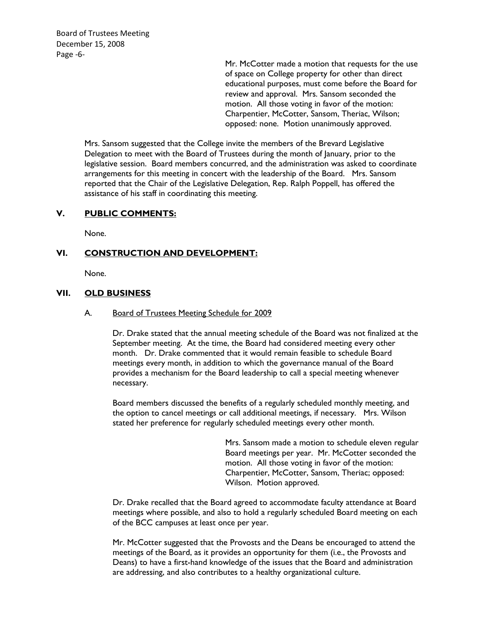Board of Trustees Meeting December 15, 2008 Page -6-

> Mr. McCotter made a motion that requests for the use of space on College property for other than direct educational purposes, must come before the Board for review and approval. Mrs. Sansom seconded the motion. All those voting in favor of the motion: Charpentier, McCotter, Sansom, Theriac, Wilson; opposed: none. Motion unanimously approved.

Mrs. Sansom suggested that the College invite the members of the Brevard Legislative Delegation to meet with the Board of Trustees during the month of January, prior to the legislative session. Board members concurred, and the administration was asked to coordinate arrangements for this meeting in concert with the leadership of the Board. Mrs. Sansom reported that the Chair of the Legislative Delegation, Rep. Ralph Poppell, has offered the assistance of his staff in coordinating this meeting.

### **V. PUBLIC COMMENTS:**

None.

### **VI. CONSTRUCTION AND DEVELOPMENT:**

None.

# **VII. OLD BUSINESS**

### A. Board of Trustees Meeting Schedule for 2009

Dr. Drake stated that the annual meeting schedule of the Board was not finalized at the September meeting. At the time, the Board had considered meeting every other month. Dr. Drake commented that it would remain feasible to schedule Board meetings every month, in addition to which the governance manual of the Board provides a mechanism for the Board leadership to call a special meeting whenever necessary.

Board members discussed the benefits of a regularly scheduled monthly meeting, and the option to cancel meetings or call additional meetings, if necessary. Mrs. Wilson stated her preference for regularly scheduled meetings every other month.

> Mrs. Sansom made a motion to schedule eleven regular Board meetings per year. Mr. McCotter seconded the motion. All those voting in favor of the motion: Charpentier, McCotter, Sansom, Theriac; opposed: Wilson. Motion approved.

Dr. Drake recalled that the Board agreed to accommodate faculty attendance at Board meetings where possible, and also to hold a regularly scheduled Board meeting on each of the BCC campuses at least once per year.

Mr. McCotter suggested that the Provosts and the Deans be encouraged to attend the meetings of the Board, as it provides an opportunity for them (i.e., the Provosts and Deans) to have a first-hand knowledge of the issues that the Board and administration are addressing, and also contributes to a healthy organizational culture.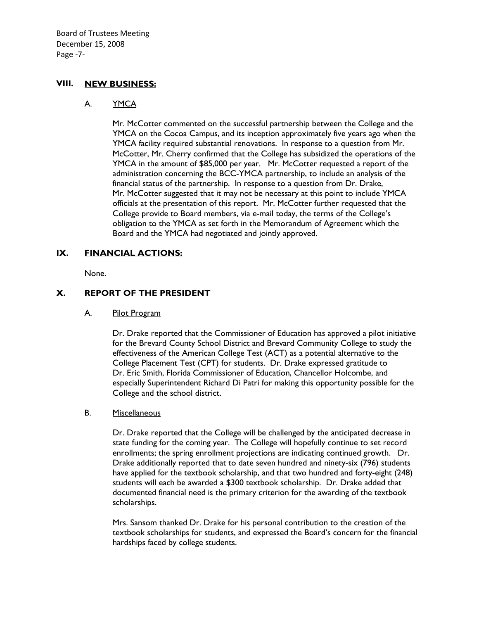Board of Trustees Meeting December 15, 2008 Page -7-

# **VIII. NEW BUSINESS:**

### A. YMCA

Mr. McCotter commented on the successful partnership between the College and the YMCA on the Cocoa Campus, and its inception approximately five years ago when the YMCA facility required substantial renovations. In response to a question from Mr. McCotter, Mr. Cherry confirmed that the College has subsidized the operations of the YMCA in the amount of \$85,000 per year. Mr. McCotter requested a report of the administration concerning the BCC-YMCA partnership, to include an analysis of the financial status of the partnership. In response to a question from Dr. Drake, Mr. McCotter suggested that it may not be necessary at this point to include YMCA officials at the presentation of this report. Mr. McCotter further requested that the College provide to Board members, via e-mail today, the terms of the College's obligation to the YMCA as set forth in the Memorandum of Agreement which the Board and the YMCA had negotiated and jointly approved.

### **IX. FINANCIAL ACTIONS:**

None.

# **X. REPORT OF THE PRESIDENT**

### A. Pilot Program

Dr. Drake reported that the Commissioner of Education has approved a pilot initiative for the Brevard County School District and Brevard Community College to study the effectiveness of the American College Test (ACT) as a potential alternative to the College Placement Test (CPT) for students. Dr. Drake expressed gratitude to Dr. Eric Smith, Florida Commissioner of Education, Chancellor Holcombe, and especially Superintendent Richard Di Patri for making this opportunity possible for the College and the school district.

### B. Miscellaneous

Dr. Drake reported that the College will be challenged by the anticipated decrease in state funding for the coming year. The College will hopefully continue to set record enrollments; the spring enrollment projections are indicating continued growth. Dr. Drake additionally reported that to date seven hundred and ninety-six (796) students have applied for the textbook scholarship, and that two hundred and forty-eight (248) students will each be awarded a \$300 textbook scholarship. Dr. Drake added that documented financial need is the primary criterion for the awarding of the textbook scholarships.

Mrs. Sansom thanked Dr. Drake for his personal contribution to the creation of the textbook scholarships for students, and expressed the Board's concern for the financial hardships faced by college students.